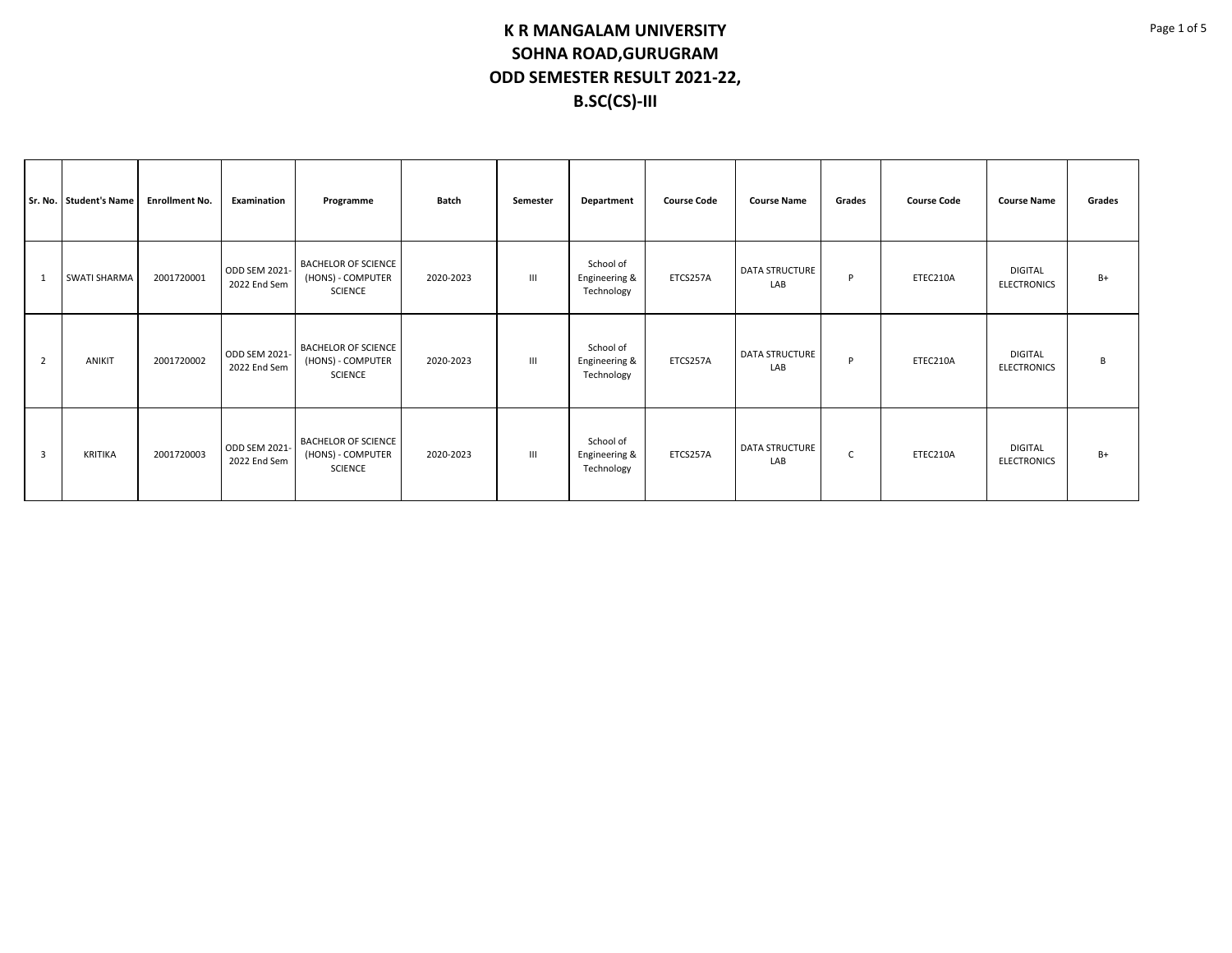|   | Sr. No. Student's Name | <b>Enrollment No.</b> | Examination                          | Programme                                                         | <b>Batch</b> | Semester       | Department                               | <b>Course Code</b> | <b>Course Name</b>           | Grades | <b>Course Code</b> | <b>Course Name</b>                   | Grades |
|---|------------------------|-----------------------|--------------------------------------|-------------------------------------------------------------------|--------------|----------------|------------------------------------------|--------------------|------------------------------|--------|--------------------|--------------------------------------|--------|
| 1 | <b>SWATI SHARMA</b>    | 2001720001            | ODD SEM 2021-<br>2022 End Sem        | <b>BACHELOR OF SCIENCE</b><br>(HONS) - COMPUTER<br><b>SCIENCE</b> | 2020-2023    | III            | School of<br>Engineering &<br>Technology | ETCS257A           | DATA STRUCTURE<br>LAB        | P      | ETEC210A           | <b>DIGITAL</b><br><b>ELECTRONICS</b> | $B+$   |
| 2 | <b>ANIKIT</b>          | 2001720002            | ODD SEM 2021-<br>2022 End Sem        | <b>BACHELOR OF SCIENCE</b><br>(HONS) - COMPUTER<br><b>SCIENCE</b> | 2020-2023    | III            | School of<br>Engineering &<br>Technology | ETCS257A           | <b>DATA STRUCTURE</b><br>LAB | P      | ETEC210A           | <b>DIGITAL</b><br><b>ELECTRONICS</b> | В      |
| 3 | <b>KRITIKA</b>         | 2001720003            | <b>ODD SEM 2021-</b><br>2022 End Sem | <b>BACHELOR OF SCIENCE</b><br>(HONS) - COMPUTER<br><b>SCIENCE</b> | 2020-2023    | $\mathbf{III}$ | School of<br>Engineering &<br>Technology | ETCS257A           | <b>DATA STRUCTURE</b><br>LAB | C      | ETEC210A           | <b>DIGITAL</b><br><b>ELECTRONICS</b> | $B+$   |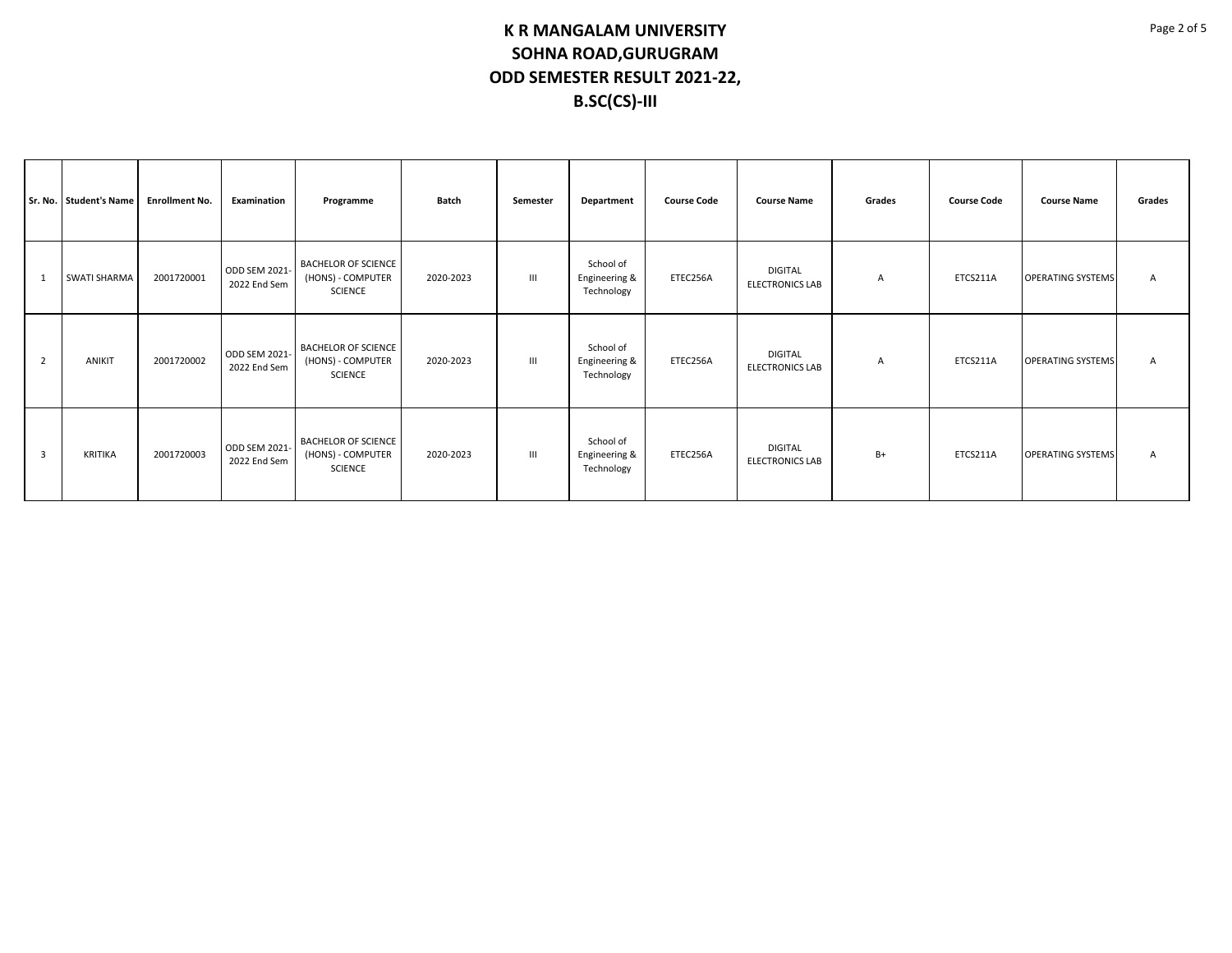|                | Sr. No. Student's Name | <b>Enrollment No.</b> | Examination                   | Programme                                                         | Batch     | Semester       | Department                               | <b>Course Code</b> | <b>Course Name</b>                       | Grades | <b>Course Code</b> | <b>Course Name</b>       | Grades |
|----------------|------------------------|-----------------------|-------------------------------|-------------------------------------------------------------------|-----------|----------------|------------------------------------------|--------------------|------------------------------------------|--------|--------------------|--------------------------|--------|
| $\overline{1}$ | <b>SWATI SHARMA</b>    | 2001720001            | ODD SEM 2021-<br>2022 End Sem | <b>BACHELOR OF SCIENCE</b><br>(HONS) - COMPUTER<br><b>SCIENCE</b> | 2020-2023 | $\mathbf{III}$ | School of<br>Engineering &<br>Technology | ETEC256A           | <b>DIGITAL</b><br><b>ELECTRONICS LAB</b> | A      | ETCS211A           | <b>OPERATING SYSTEMS</b> | Α      |
| $\overline{2}$ | ANIKIT                 | 2001720002            | ODD SEM 2021-<br>2022 End Sem | <b>BACHELOR OF SCIENCE</b><br>(HONS) - COMPUTER<br><b>SCIENCE</b> | 2020-2023 | Ш              | School of<br>Engineering &<br>Technology | ETEC256A           | <b>DIGITAL</b><br><b>ELECTRONICS LAB</b> | A      | ETCS211A           | <b>OPERATING SYSTEMS</b> | Α      |
| $\overline{3}$ | KRITIKA                | 2001720003            | ODD SEM 2021-<br>2022 End Sem | <b>BACHELOR OF SCIENCE</b><br>(HONS) - COMPUTER<br><b>SCIENCE</b> | 2020-2023 | $\mathbf{III}$ | School of<br>Engineering &<br>Technology | ETEC256A           | <b>DIGITAL</b><br><b>ELECTRONICS LAB</b> | $B+$   | ETCS211A           | <b>OPERATING SYSTEMS</b> | Α      |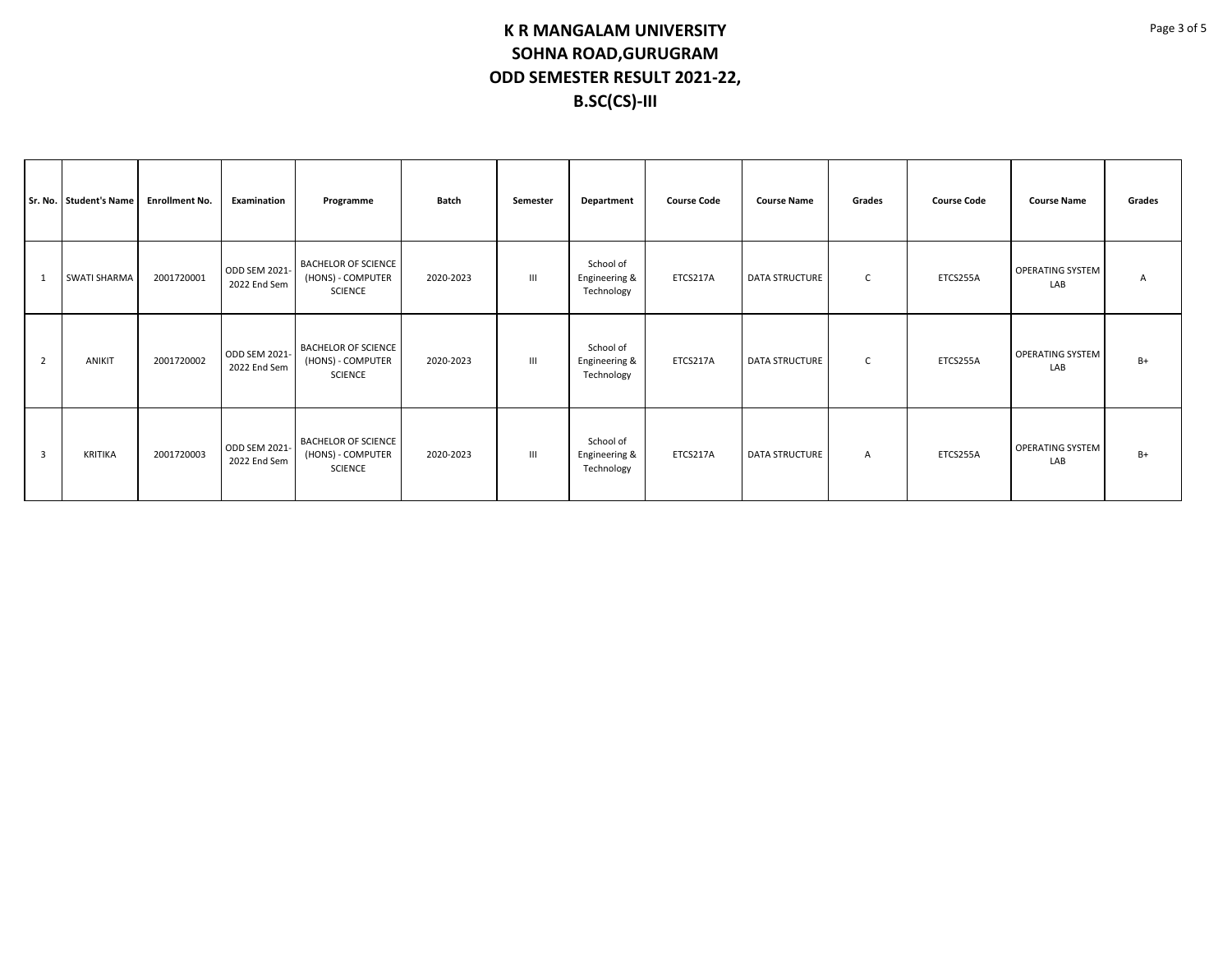|                | Sr. No. Student's Name | <b>Enrollment No.</b> | Examination                   | Programme                                                         | Batch     | Semester | Department                               | <b>Course Code</b> | <b>Course Name</b>    | Grades         | <b>Course Code</b> | <b>Course Name</b>             | Grades |
|----------------|------------------------|-----------------------|-------------------------------|-------------------------------------------------------------------|-----------|----------|------------------------------------------|--------------------|-----------------------|----------------|--------------------|--------------------------------|--------|
| $\mathbf{1}$   | <b>SWATI SHARMA</b>    | 2001720001            | ODD SEM 2021-<br>2022 End Sem | <b>BACHELOR OF SCIENCE</b><br>(HONS) - COMPUTER<br><b>SCIENCE</b> | 2020-2023 | III      | School of<br>Engineering &<br>Technology | ETCS217A           | <b>DATA STRUCTURE</b> | C              | ETCS255A           | <b>OPERATING SYSTEM</b><br>LAB | Α      |
| $\overline{2}$ | ANIKIT                 | 2001720002            | ODD SEM 2021-<br>2022 End Sem | <b>BACHELOR OF SCIENCE</b><br>(HONS) - COMPUTER<br><b>SCIENCE</b> | 2020-2023 | Ш        | School of<br>Engineering &<br>Technology | ETCS217A           | <b>DATA STRUCTURE</b> | C              | ETCS255A           | <b>OPERATING SYSTEM</b><br>LAB | $B+$   |
| $\overline{3}$ | <b>KRITIKA</b>         | 2001720003            | ODD SEM 2021-<br>2022 End Sem | <b>BACHELOR OF SCIENCE</b><br>(HONS) - COMPUTER<br><b>SCIENCE</b> | 2020-2023 | III      | School of<br>Engineering &<br>Technology | ETCS217A           | <b>DATA STRUCTURE</b> | $\overline{A}$ | ETCS255A           | OPERATING SYSTEM<br>LAB        | $B+$   |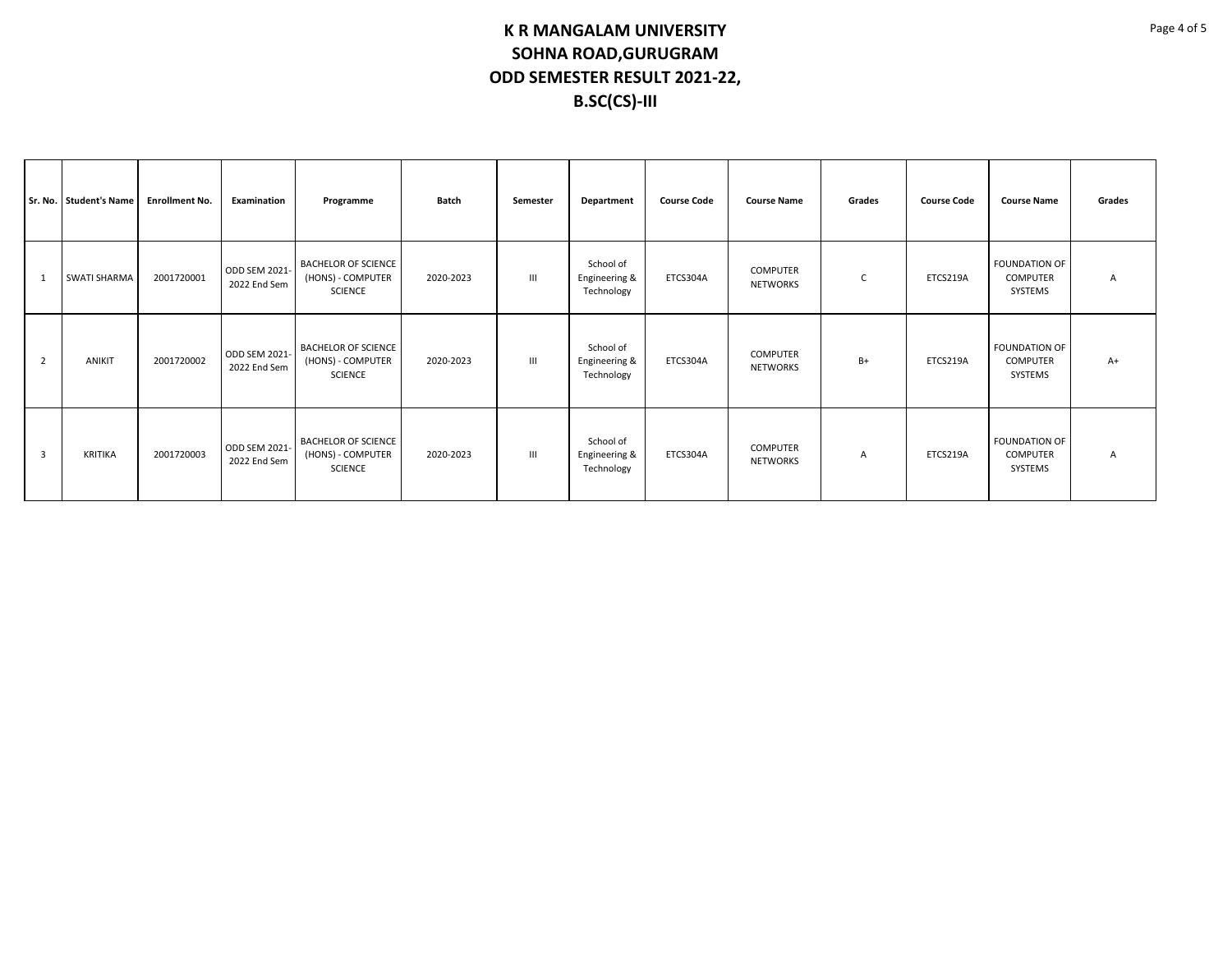|                | Sr. No. Student's Name | <b>Enrollment No.</b> | Examination                   | Programme                                                         | Batch     | Semester       | Department                               | <b>Course Code</b> | <b>Course Name</b>                 | Grades | <b>Course Code</b> | <b>Course Name</b>                                 | Grades |
|----------------|------------------------|-----------------------|-------------------------------|-------------------------------------------------------------------|-----------|----------------|------------------------------------------|--------------------|------------------------------------|--------|--------------------|----------------------------------------------------|--------|
| 1              | SWATI SHARMA           | 2001720001            | ODD SEM 2021-<br>2022 End Sem | <b>BACHELOR OF SCIENCE</b><br>(HONS) - COMPUTER<br><b>SCIENCE</b> | 2020-2023 | $\mathbf{III}$ | School of<br>Engineering &<br>Technology | ETCS304A           | <b>COMPUTER</b><br>NETWORKS        | C      | ETCS219A           | <b>FOUNDATION OF</b><br><b>COMPUTER</b><br>SYSTEMS | A      |
| $\overline{2}$ | ANIKIT                 | 2001720002            | ODD SEM 2021-<br>2022 End Sem | <b>BACHELOR OF SCIENCE</b><br>(HONS) - COMPUTER<br><b>SCIENCE</b> | 2020-2023 | $\mathbf{III}$ | School of<br>Engineering &<br>Technology | ETCS304A           | <b>COMPUTER</b><br><b>NETWORKS</b> | B+     | ETCS219A           | <b>FOUNDATION OF</b><br><b>COMPUTER</b><br>SYSTEMS | $A+$   |
| 3              | <b>KRITIKA</b>         | 2001720003            | ODD SEM 2021-<br>2022 End Sem | <b>BACHELOR OF SCIENCE</b><br>(HONS) - COMPUTER<br><b>SCIENCE</b> | 2020-2023 | $\mathbf{III}$ | School of<br>Engineering &<br>Technology | ETCS304A           | <b>COMPUTER</b><br>NETWORKS        | A      | ETCS219A           | <b>FOUNDATION OF</b><br><b>COMPUTER</b><br>SYSTEMS | A      |